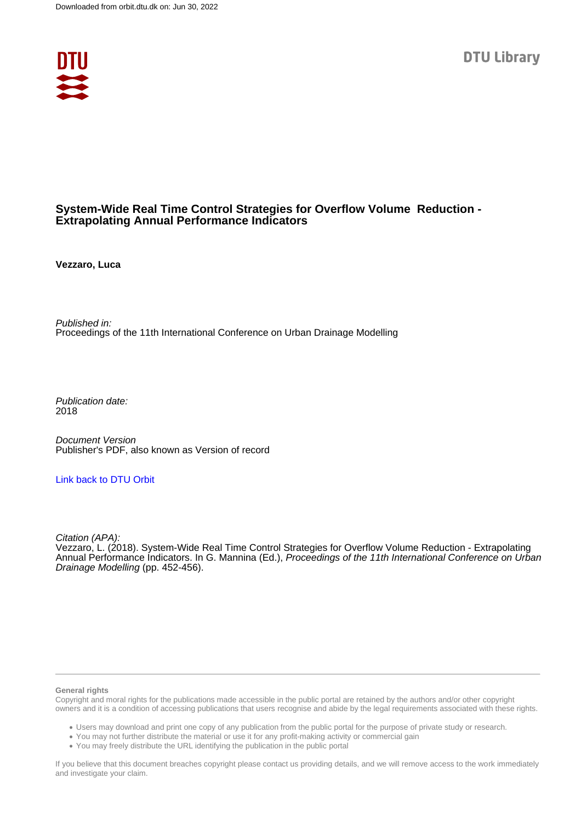

# **System-Wide Real Time Control Strategies for Overflow Volume Reduction - Extrapolating Annual Performance Indicators**

**Vezzaro, Luca**

Published in: Proceedings of the 11th International Conference on Urban Drainage Modelling

Publication date: 2018

Document Version Publisher's PDF, also known as Version of record

#### [Link back to DTU Orbit](https://orbit.dtu.dk/en/publications/3f853628-c4c1-4325-bd2c-4b578dcc9bdf)

Citation (APA): Vezzaro, L. (2018). System-Wide Real Time Control Strategies for Overflow Volume Reduction - Extrapolating Annual Performance Indicators. In G. Mannina (Ed.), Proceedings of the 11th International Conference on Urban Drainage Modelling (pp. 452-456).

#### **General rights**

Copyright and moral rights for the publications made accessible in the public portal are retained by the authors and/or other copyright owners and it is a condition of accessing publications that users recognise and abide by the legal requirements associated with these rights.

Users may download and print one copy of any publication from the public portal for the purpose of private study or research.

- You may not further distribute the material or use it for any profit-making activity or commercial gain
- You may freely distribute the URL identifying the publication in the public portal

If you believe that this document breaches copyright please contact us providing details, and we will remove access to the work immediately and investigate your claim.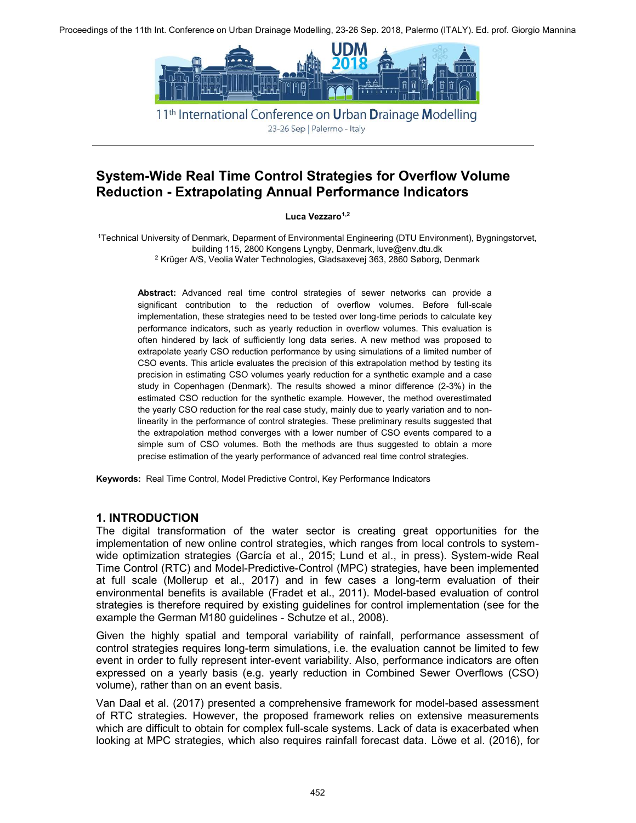

11<sup>th</sup> International Conference on **Urban Drainage Modelling** 23-26 Sep | Palermo - Italy

# **System-Wide Real Time Control Strategies for Overflow Volume Reduction - Extrapolating Annual Performance Indicators**

Luca Vezzaro<sup>1,2</sup>

1Technical University of Denmark, Deparment of Environmental Engineering (DTU Environment), Bygningstorvet, building 115, 2800 Kongens Lyngby, Denmark, luve@env.dtu.dk 2 Krüger A/S, Veolia Water Technologies, Gladsaxevej 363, 2860 Søborg, Denmark

**Abstract:** Advanced real time control strategies of sewer networks can provide a significant contribution to the reduction of overflow volumes. Before full-scale implementation, these strategies need to be tested over long-time periods to calculate key performance indicators, such as yearly reduction in overflow volumes. This evaluation is often hindered by lack of sufficiently long data series. A new method was proposed to extrapolate yearly CSO reduction performance by using simulations of a limited number of CSO events. This article evaluates the precision of this extrapolation method by testing its precision in estimating CSO volumes yearly reduction for a synthetic example and a case study in Copenhagen (Denmark). The results showed a minor difference (2-3%) in the estimated CSO reduction for the synthetic example. However, the method overestimated the yearly CSO reduction for the real case study, mainly due to yearly variation and to nonlinearity in the performance of control strategies. These preliminary results suggested that the extrapolation method converges with a lower number of CSO events compared to a simple sum of CSO volumes. Both the methods are thus suggested to obtain a more precise estimation of the yearly performance of advanced real time control strategies.

**Keywords:** Real Time Control, Model Predictive Control, Key Performance Indicators

### **1. INTRODUCTION**

The digital transformation of the water sector is creating great opportunities for the implementation of new online control strategies, which ranges from local controls to systemwide optimization strategies (García et al., 2015; Lund et al., in press). System-wide Real Time Control (RTC) and Model-Predictive-Control (MPC) strategies, have been implemented at full scale (Mollerup et al., 2017) and in few cases a long-term evaluation of their environmental benefits is available (Fradet et al., 2011). Model-based evaluation of control strategies is therefore required by existing guidelines for control implementation (see for the example the German M180 guidelines - Schutze et al., 2008).

Given the highly spatial and temporal variability of rainfall, performance assessment of control strategies requires long-term simulations, i.e. the evaluation cannot be limited to few event in order to fully represent inter-event variability. Also, performance indicators are often expressed on a yearly basis (e.g. yearly reduction in Combined Sewer Overflows (CSO) volume), rather than on an event basis.

Van Daal et al. (2017) presented a comprehensive framework for model-based assessment of RTC strategies. However, the proposed framework relies on extensive measurements which are difficult to obtain for complex full-scale systems. Lack of data is exacerbated when looking at MPC strategies, which also requires rainfall forecast data. Löwe et al. (2016), for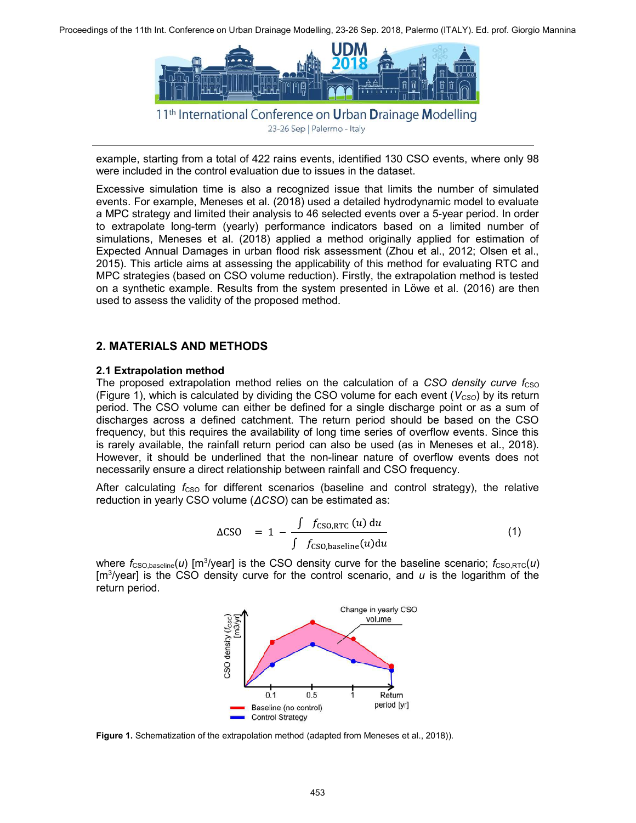

23-26 Sep | Palermo - Italy

example, starting from a total of 422 rains events, identified 130 CSO events, where only 98 were included in the control evaluation due to issues in the dataset.

Excessive simulation time is also a recognized issue that limits the number of simulated events. For example, Meneses et al. (2018) used a detailed hydrodynamic model to evaluate a MPC strategy and limited their analysis to 46 selected events over a 5-year period. In order to extrapolate long-term (yearly) performance indicators based on a limited number of simulations, Meneses et al. (2018) applied a method originally applied for estimation of Expected Annual Damages in urban flood risk assessment (Zhou et al., 2012; Olsen et al., 2015). This article aims at assessing the applicability of this method for evaluating RTC and MPC strategies (based on CSO volume reduction). Firstly, the extrapolation method is tested on a synthetic example. Results from the system presented in Löwe et al. (2016) are then used to assess the validity of the proposed method.

## **2. MATERIALS AND METHODS**

#### **2.1 Extrapolation method**

The proposed extrapolation method relies on the calculation of a CSO density curve f<sub>CSO</sub> (Figure 1), which is calculated by dividing the CSO volume for each event  $(V_{\text{CSO}})$  by its return period. The CSO volume can either be defined for a single discharge point or as a sum of discharges across a defined catchment. The return period should be based on the CSO frequency, but this requires the availability of long time series of overflow events. Since this is rarely available, the rainfall return period can also be used (as in Meneses et al., 2018). However, it should be underlined that the non-linear nature of overflow events does not necessarily ensure a direct relationship between rainfall and CSO frequency.

After calculating  $f_{\text{CSO}}$  for different scenarios (baseline and control strategy), the relative reduction in yearly CSO volume  $(ACSO)$  can be estimated as:

$$
\Delta CSO = 1 - \frac{\int f_{CSO,RTC}(u) du}{\int f_{CSO, baseline}(u) du}
$$
 (1)

where  $f_{\text{CSO,baseline}}(u)$  [m<sup>3</sup>/year] is the CSO density curve for the baseline scenario;  $f_{\text{CSO,RTC}}(u)$ [m<sup>3</sup>/year] is the CSO density curve for the control scenario, and *u* is the logarithm of the return period.



**Figure 1.** Schematization of the extrapolation method (adapted from Meneses et al., 2018)).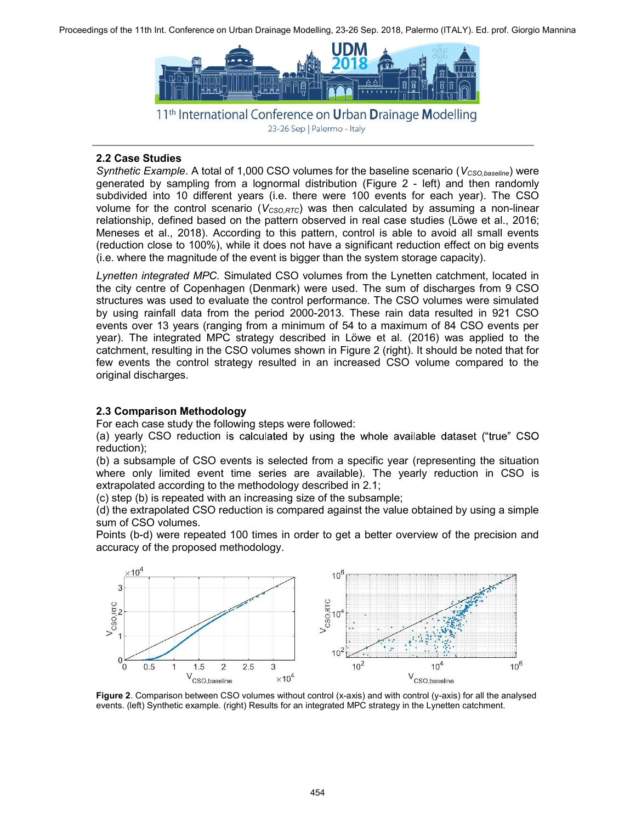

<sup>23-26</sup> Sep | Palermo - Italy

### **2.2 Case Studies**

*Synthetic Example*. A total of 1,000 CSO volumes for the baseline scenario (*V<sub>CSO,baseline*) were</sub> generated by sampling from a lognormal distribution (Figure 2 - left) and then randomly subdivided into 10 different years (i.e. there were 100 events for each year). The CSO volume for the control scenario ( $V_{CSORTC}$ ) was then calculated by assuming a non-linear relationship, defined based on the pattern observed in real case studies (Löwe et al., 2016; Meneses et al., 2018). According to this pattern, control is able to avoid all small events (reduction close to 100%), while it does not have a significant reduction effect on big events (i.e. where the magnitude of the event is bigger than the system storage capacity).

*Lynetten integrated MPC.* Simulated CSO volumes from the Lynetten catchment, located in the city centre of Copenhagen (Denmark) were used. The sum of discharges from 9 CSO structures was used to evaluate the control performance. The CSO volumes were simulated by using rainfall data from the period 2000-2013. These rain data resulted in 921 CSO events over 13 years (ranging from a minimum of 54 to a maximum of 84 CSO events per year). The integrated MPC strategy described in Löwe et al. (2016) was applied to the catchment, resulting in the CSO volumes shown in Figure 2 (right). It should be noted that for few events the control strategy resulted in an increased CSO volume compared to the original discharges.

# **2.3 Comparison Methodology**

For each case study the following steps were followed:

(a) yearly CSO reduction is calculated by using the whole available dataset ("true" CSO reduction);

(b) a subsample of CSO events is selected from a specific year (representing the situation where only limited event time series are available). The yearly reduction in CSO is extrapolated according to the methodology described in 2.1;

(c) step (b) is repeated with an increasing size of the subsample;

(d) the extrapolated CSO reduction is compared against the value obtained by using a simple sum of CSO volumes.

Points (b-d) were repeated 100 times in order to get a better overview of the precision and accuracy of the proposed methodology.



**Figure 2**. Comparison between CSO volumes without control (x-axis) and with control (y-axis) for all the analysed events. (left) Synthetic example. (right) Results for an integrated MPC strategy in the Lynetten catchment.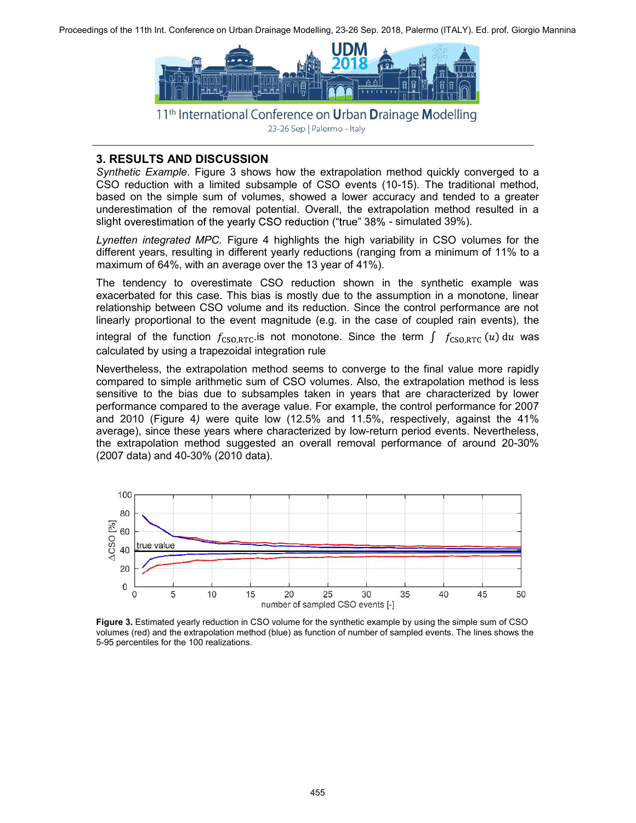

23-26 Sep | Palermo - Italy

#### **3. RESULTS AND DISCUSSION**

*Synthetic Example*. Figure 3 shows how the extrapolation method quickly converged to a CSO reduction with a limited subsample of CSO events (10-15). The traditional method, based on the simple sum of volumes, showed a lower accuracy and tended to a greater underestimation of the removal potential. Overall, the extrapolation method resulted in a slight overestimation of the yearly CSO reduction ("true" 38% - simulated 39%).

*Lynetten integrated MPC.* Figure 4 highlights the high variability in CSO volumes for the different years, resulting in different yearly reductions (ranging from a minimum of 11% to a maximum of 64%, with an average over the 13 year of 41%).

The tendency to overestimate CSO reduction shown in the synthetic example was exacerbated for this case. This bias is mostly due to the assumption in a monotone, linear relationship between CSO volume and its reduction. Since the control performance are not linearly proportional to the event magnitude (e.g. in the case of coupled rain events), the

integral of the function  $f_{\text{CSO,RTC}}$  is not monotone. Since the term  $\int f_{\text{CSO,RTC}}(u) du$  was calculated by using a trapezoidal integration rule

Nevertheless, the extrapolation method seems to converge to the final value more rapidly compared to simple arithmetic sum of CSO volumes. Also, the extrapolation method is less sensitive to the bias due to subsamples taken in years that are characterized by lower performance compared to the average value. For example, the control performance for 2007 and 2010 (Figure 4*)* were quite low (12.5% and 11.5%, respectively, against the 41% average), since these years where characterized by low-return period events. Nevertheless, the extrapolation method suggested an overall removal performance of around 20-30% (2007 data) and 40-30% (2010 data).



**Figure 3.** Estimated yearly reduction in CSO volume for the synthetic example by using the simple sum of CSO volumes (red) and the extrapolation method (blue) as function of number of sampled events. The lines shows the 5-95 percentiles for the 100 realizations.